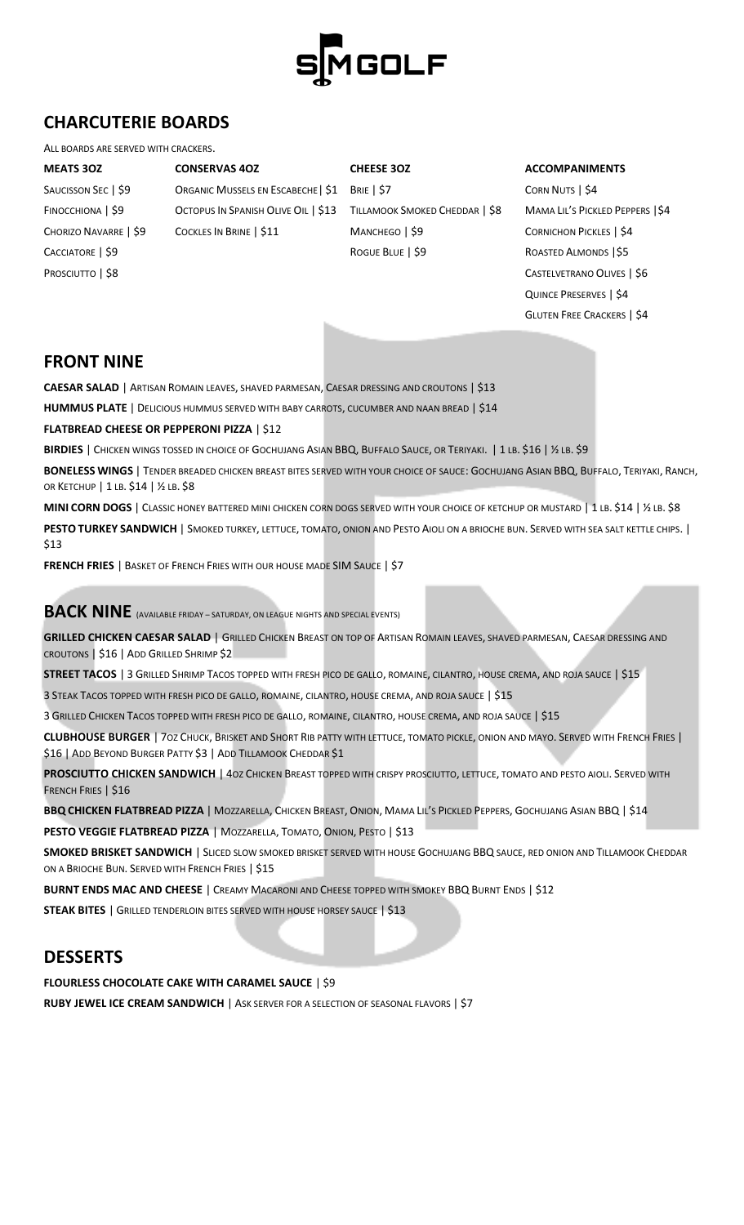

## **CHARCUTERIE BOARDS**

#### ALL BOARDS ARE SERVED WITH CRACKERS.

**MEATS 3OZ CONSERVAS 4OZ CHEESE 3OZ ACCOMPANIMENTS** 

FINOCCHIONA | \$9 OCTOPUS IN SPANISH OLIVE OIL | \$13 TILLAMOOK SMOKED CHEDDAR | \$8 MAMA LIL'S PICKLED PEPPERS | \$4 CHORIZO NAVARRE | \$9 COCKLES IN BRINE | \$11 MANCHEGO | \$9 CORNICHON PICKLES | \$4

SAUCISSON SEC | \$9 **ORGANIC MUSSELS EN ESCABECHE | \$1** BRIE | \$7 CORN NUTS | \$4 CACCIATORE | \$9 ROGUE BLUE | \$9 ROGUE BLUE | \$9 ROASTED ALMONDS | \$5

PROSCIUTTO | \$8 CASTELVETRANO OLIVES | \$6 QUINCE PRESERVES | \$4 GLUTEN FREE CRACKERS | \$4

#### **FRONT NINE**

**CAESAR SALAD** | ARTISAN ROMAIN LEAVES, SHAVED PARMESAN, CAESAR DRESSING AND CROUTONS | \$13

**HUMMUS PLATE** | DELICIOUS HUMMUS SERVED WITH BABY CARROTS, CUCUMBER AND NAAN BREAD | \$14

**FLATBREAD CHEESE OR PEPPERONI PIZZA** | \$12

BIRDIES | CHICKEN WINGS TOSSED IN CHOICE OF GOCHUJANG ASIAN BBQ, BUFFALO SAUCE, OR TERIYAKI. | 1 LB. \$16 | ½ LB. \$9

**BONELESS WINGS** | TENDER BREADED CHICKEN BREAST BITES SERVED WITH YOUR CHOICE OF SAUCE: GOCHUJANG ASIAN BBQ, BUFFALO, TERIYAKI, RANCH, OR KETCHUP | 1 LB. \$14 | ½ LB. \$8

**MINI CORN DOGS** | CLASSIC HONEY BATTERED MINI CHICKEN CORN DOGS SERVED WITH YOUR CHOICE OF KETCHUP OR MUSTARD | 1 LB. \$14 | ½ LB. \$8 **PESTO TURKEY SANDWICH** | SMOKED TURKEY, LETTUCE, TOMATO, ONION AND PESTO AIOLI ON A BRIOCHE BUN. SERVED WITH SEA SALT KETTLE CHIPS. | \$13

**FRENCH FRIES** | BASKET OF FRENCH FRIES WITH OUR HOUSE MADE SIM SAUCE | \$7

**BACK NINE** (AVAILABLE FRIDAY – SATURDAY, ON LEAGUE NIGHTS AND SPECIAL EVENTS)

**GRILLED CHICKEN CAESAR SALAD** | GRILLED CHICKEN BREAST ON TOP OF ARTISAN ROMAIN LEAVES, SHAVED PARMESAN, CAESAR DRESSING AND CROUTONS | \$16 | ADD GRILLED SHRIMP \$2

**STREET TACOS** | 3 GRILLED SHRIMP TACOS TOPPED WITH FRESH PICO DE GALLO, ROMAINE, CILANTRO, HOUSE CREMA, AND ROJA SAUCE | \$15

3 STEAK TACOS TOPPED WITH FRESH PICO DE GALLO, ROMAINE, CILANTRO, HOUSE CREMA, AND ROJA SAUCE | \$15

3 GRILLED CHICKEN TACOS TOPPED WITH FRESH PICO DE GALLO, ROMAINE, CILANTRO, HOUSE CREMA, AND ROJA SAUCE | \$15

**CLUBHOUSE BURGER** | 7OZ CHUCK, BRISKET AND SHORT RIB PATTY WITH LETTUCE, TOMATO PICKLE, ONION AND MAYO. SERVED WITH FRENCH FRIES | \$16 | ADD BEYOND BURGER PATTY \$3 | ADD TILLAMOOK CHEDDAR \$1

**PROSCIUTTO CHICKEN SANDWICH** | 40Z CHICKEN BREAST TOPPED WITH CRISPY PROSCIUTTO, LETTUCE, TOMATO AND PESTO AIOLI. SERVED WITH FRENCH FRIES | \$16

**BBQ CHICKEN FLATBREAD PIZZA** | MOZZARELLA, CHICKEN BREAST, ONION, MAMA LIL'S PICKLED PEPPERS, GOCHUJANG ASIAN BBQ | \$14

**PESTO VEGGIE FLATBREAD PIZZA** | MOZZARELLA, TOMATO, ONION, PESTO | \$13

**SMOKED BRISKET SANDWICH** | SLICED SLOW SMOKED BRISKET SERVED WITH HOUSE GOCHUJANG BBQ SAUCE, RED ONION AND TILLAMOOK CHEDDAR ON A BRIOCHE BUN. SERVED WITH FRENCH FRIES | \$15

**BURNT ENDS MAC AND CHEESE** | CREAMY MACARONI AND CHEESE TOPPED WITH SMOKEY BBQ BURNT ENDS | \$12

**STEAK BITES** | GRILLED TENDERLOIN BITES SERVED WITH HOUSE HORSEY SAUCE | \$13

#### **DESSERTS**

**FLOURLESS CHOCOLATE CAKE WITH CARAMEL SAUCE** | \$9

**RUBY JEWEL ICE CREAM SANDWICH | ASK SERVER FOR A SELECTION OF SEASONAL FLAVORS | \$7**